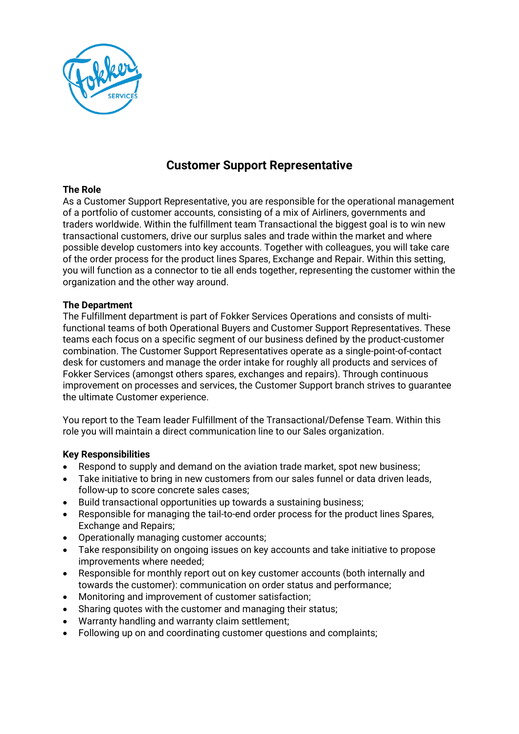

# **Customer Support Representative**

#### **The Role**

As a Customer Support Representative, you are responsible for the operational management of a portfolio of customer accounts, consisting of a mix of Airliners, governments and traders worldwide. Within the fulfillment team Transactional the biggest goal is to win new transactional customers, drive our surplus sales and trade within the market and where possible develop customers into key accounts. Together with colleagues, you will take care of the order process for the product lines Spares, Exchange and Repair. Within this setting, you will function as a connector to tie all ends together, representing the customer within the organization and the other way around.

#### **The Department**

The Fulfillment department is part of Fokker Services Operations and consists of multifunctional teams of both Operational Buyers and Customer Support Representatives. These teams each focus on a specific segment of our business defined by the product-customer combination. The Customer Support Representatives operate as a single-point-of-contact desk for customers and manage the order intake for roughly all products and services of Fokker Services (amongst others spares, exchanges and repairs). Through continuous improvement on processes and services, the Customer Support branch strives to guarantee the ultimate Customer experience.

You report to the Team leader Fulfillment of the Transactional/Defense Team. Within this role you will maintain a direct communication line to our Sales organization.

#### **Key Responsibilities**

- Respond to supply and demand on the aviation trade market, spot new business;
- Take initiative to bring in new customers from our sales funnel or data driven leads, follow-up to score concrete sales cases;
- Build transactional opportunities up towards a sustaining business;
- Responsible for managing the tail-to-end order process for the product lines Spares, Exchange and Repairs;
- Operationally managing customer accounts;
- Take responsibility on ongoing issues on key accounts and take initiative to propose improvements where needed;
- Responsible for monthly report out on key customer accounts (both internally and towards the customer): communication on order status and performance;
- Monitoring and improvement of customer satisfaction;
- Sharing quotes with the customer and managing their status;
- Warranty handling and warranty claim settlement;
- Following up on and coordinating customer questions and complaints;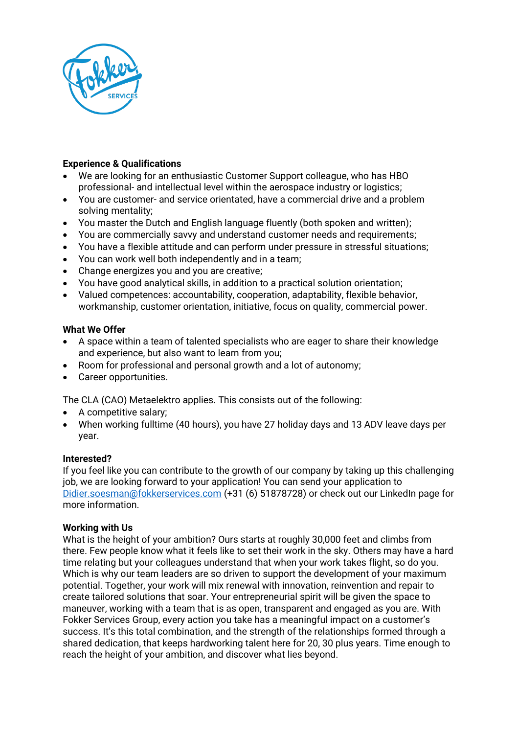

# **Experience & Qualifications**

- We are looking for an enthusiastic Customer Support colleague, who has HBO professional- and intellectual level within the aerospace industry or logistics;
- You are customer- and service orientated, have a commercial drive and a problem solving mentality;
- You master the Dutch and English language fluently (both spoken and written);
- You are commercially savvy and understand customer needs and requirements;
- You have a flexible attitude and can perform under pressure in stressful situations;
- You can work well both independently and in a team;
- Change energizes you and you are creative;
- You have good analytical skills, in addition to a practical solution orientation;
- Valued competences: accountability, cooperation, adaptability, flexible behavior, workmanship, customer orientation, initiative, focus on quality, commercial power.

# **What We Offer**

- A space within a team of talented specialists who are eager to share their knowledge and experience, but also want to learn from you;
- Room for professional and personal growth and a lot of autonomy;
- Career opportunities.

The CLA (CAO) Metaelektro applies. This consists out of the following:

- A competitive salary;
- When working fulltime (40 hours), you have 27 holiday days and 13 ADV leave days per year.

# **Interested?**

If you feel like you can contribute to the growth of our company by taking up this challenging job, we are looking forward to your application! You can send your application to [Didier.soesman@fokkerservices.com](mailto:Didier.soesman@fokkerservices.com) (+31 (6) 51878728) or check out our LinkedIn page for more information.

# **Working with Us**

What is the height of your ambition? Ours starts at roughly 30,000 feet and climbs from there. Few people know what it feels like to set their work in the sky. Others may have a hard time relating but your colleagues understand that when your work takes flight, so do you. Which is why our team leaders are so driven to support the development of your maximum potential. Together, your work will mix renewal with innovation, reinvention and repair to create tailored solutions that soar. Your entrepreneurial spirit will be given the space to maneuver, working with a team that is as open, transparent and engaged as you are. With Fokker Services Group, every action you take has a meaningful impact on a customer's success. It's this total combination, and the strength of the relationships formed through a shared dedication, that keeps hardworking talent here for 20, 30 plus years. Time enough to reach the height of your ambition, and discover what lies beyond.